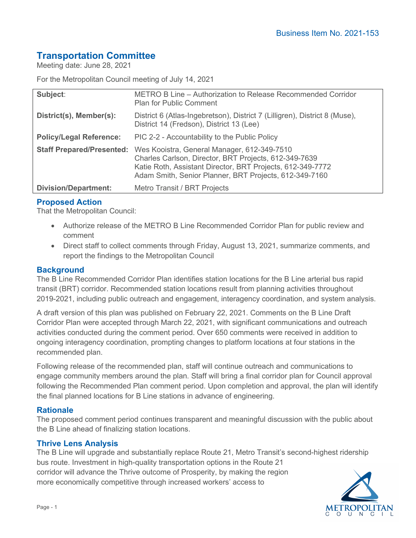# **Transportation Committee**

Meeting date: June 28, 2021

For the Metropolitan Council meeting of July 14, 2021

| Subject:                         | METRO B Line – Authorization to Release Recommended Corridor<br><b>Plan for Public Comment</b>                                                                                                                               |
|----------------------------------|------------------------------------------------------------------------------------------------------------------------------------------------------------------------------------------------------------------------------|
| District(s), Member(s):          | District 6 (Atlas-Ingebretson), District 7 (Lilligren), District 8 (Muse),<br>District 14 (Fredson), District 13 (Lee)                                                                                                       |
| <b>Policy/Legal Reference:</b>   | PIC 2-2 - Accountability to the Public Policy                                                                                                                                                                                |
| <b>Staff Prepared/Presented:</b> | Wes Kooistra, General Manager, 612-349-7510<br>Charles Carlson, Director, BRT Projects, 612-349-7639<br>Katie Roth, Assistant Director, BRT Projects, 612-349-7772<br>Adam Smith, Senior Planner, BRT Projects, 612-349-7160 |
| <b>Division/Department:</b>      | Metro Transit / BRT Projects                                                                                                                                                                                                 |

## **Proposed Action**

That the Metropolitan Council:

- Authorize release of the METRO B Line Recommended Corridor Plan for public review and comment
- Direct staff to collect comments through Friday, August 13, 2021, summarize comments, and report the findings to the Metropolitan Council

#### **Background**

The B Line Recommended Corridor Plan identifies station locations for the B Line arterial bus rapid transit (BRT) corridor. Recommended station locations result from planning activities throughout 2019-2021, including public outreach and engagement, interagency coordination, and system analysis.

A draft version of this plan was published on February 22, 2021. Comments on the B Line Draft Corridor Plan were accepted through March 22, 2021, with significant communications and outreach activities conducted during the comment period. Over 650 comments were received in addition to ongoing interagency coordination, prompting changes to platform locations at four stations in the recommended plan.

Following release of the recommended plan, staff will continue outreach and communications to engage community members around the plan. Staff will bring a final corridor plan for Council approval following the Recommended Plan comment period. Upon completion and approval, the plan will identify the final planned locations for B Line stations in advance of engineering.

## **Rationale**

The proposed comment period continues transparent and meaningful discussion with the public about the B Line ahead of finalizing station locations.

#### **Thrive Lens Analysis**

The B Line will upgrade and substantially replace Route 21, Metro Transit's second-highest ridership bus route. Investment in high-quality transportation options in the Route 21 corridor will advance the Thrive outcome of Prosperity, by making the region more economically competitive through increased workers' access to